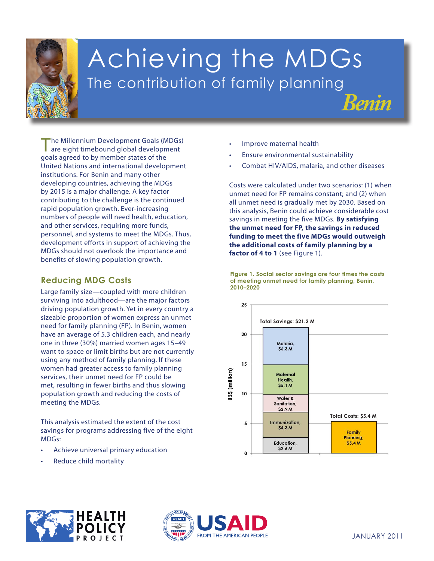

# Achieving the MDGs The contribution of family planning

The Millennium Development Goals (MDGs) are eight timebound global development goals agreed to by member states of the United Nations and international development institutions. For Benin and many other developing countries, achieving the MDGs by 2015 is a major challenge. A key factor contributing to the challenge is the continued rapid population growth. Ever-increasing numbers of people will need health, education, and other services, requiring more funds, personnel, and systems to meet the MDGs. Thus, development efforts in support of achieving the MDGs should not overlook the importance and benefits of slowing population growth.

## **Reducing MDG Costs**

**1. Eradicate extreme** population growth and reducing the costs of meeting the MDGs. Large family size—coupled with more children surviving into adulthood—are the major factors driving population growth. Yet in every country a sizeable proportion of women express an unmet need for family planning (FP). In Benin, women have an average of 5.3 children each, and nearly one in three (30%) married women ages 15–49 want to space or limit births but are not currently using any method of family planning. If these women had greater access to family planning services, their unmet need for FP could be met, resulting in fewer births and thus slowing

This analysis estimated the extent of the cost **Equines for program** savings for programs addressing five of the eight **4. Reduce child mortality** MDGs:

- **5. Improve maternal** Achieve universal primary education
	- **health** • Reduce child mortality
- Improve maternal health
- Ensure environmental sustainability
- Combat HIV/AIDS, malaria, and other diseases

*Benin*

Costs were calculated under two scenarios: (1) when unmet need for FP remains constant; and (2) when all unmet need is gradually met by 2030. Based on this analysis, Benin could achieve considerable cost savings in meeting the five MDGs. **By satisfying the unmet need for FP, the savings in reduced funding to meet the five MDGs would outweigh the additional costs of family planning by a**  factor of 4 to 1 (see Figure 1).

**Figure 1. Social sector savings are four times the costs of meeting unmet need for family planning, Benin, 2010–2020**